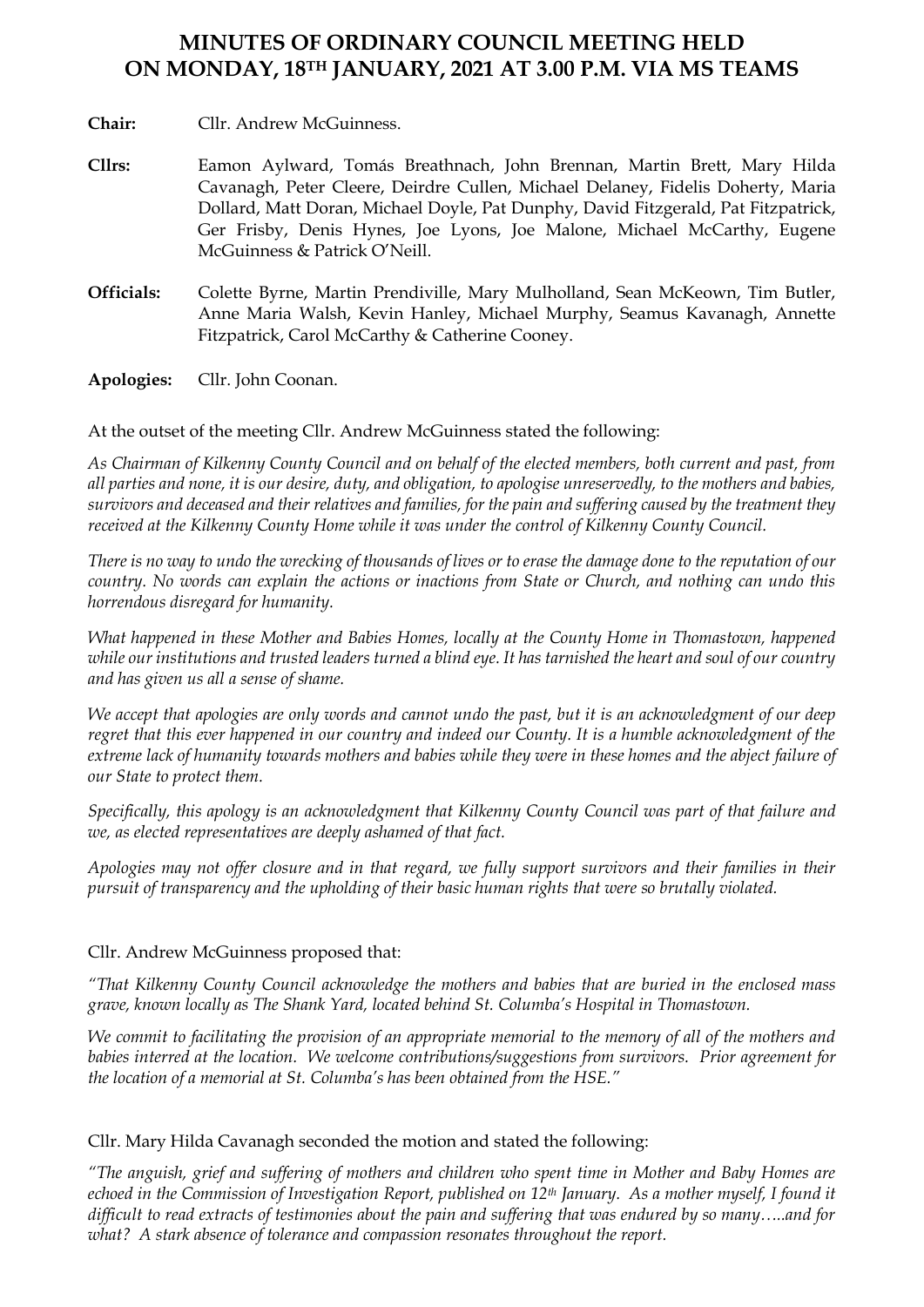## **MINUTES OF ORDINARY COUNCIL MEETING HELD ON MONDAY, 18TH JANUARY, 2021 AT 3.00 P.M. VIA MS TEAMS**

**Chair:** Cllr. Andrew McGuinness.

- **Cllrs:** Eamon Aylward, Tomás Breathnach, John Brennan, Martin Brett, Mary Hilda Cavanagh, Peter Cleere, Deirdre Cullen, Michael Delaney, Fidelis Doherty, Maria Dollard, Matt Doran, Michael Doyle, Pat Dunphy, David Fitzgerald, Pat Fitzpatrick, Ger Frisby, Denis Hynes, Joe Lyons, Joe Malone, Michael McCarthy, Eugene McGuinness & Patrick O'Neill.
- **Officials:** Colette Byrne, Martin Prendiville, Mary Mulholland, Sean McKeown, Tim Butler, Anne Maria Walsh, Kevin Hanley, Michael Murphy, Seamus Kavanagh, Annette Fitzpatrick, Carol McCarthy & Catherine Cooney.

**Apologies:** Cllr. John Coonan.

At the outset of the meeting Cllr. Andrew McGuinness stated the following:

*As Chairman of Kilkenny County Council and on behalf of the elected members, both current and past, from all parties and none, it is our desire, duty, and obligation, to apologise unreservedly, to the mothers and babies, survivors and deceased and their relatives and families, for the pain and suffering caused by the treatment they received at the Kilkenny County Home while it was under the control of Kilkenny County Council.*

*There is no way to undo the wrecking of thousands of lives or to erase the damage done to the reputation of our country. No words can explain the actions or inactions from State or Church, and nothing can undo this horrendous disregard for humanity.*

*What happened in these Mother and Babies Homes, locally at the County Home in Thomastown, happened while our institutions and trusted leaders turned a blind eye. It has tarnished the heart and soul of our country and has given us all a sense of shame.*

*We accept that apologies are only words and cannot undo the past, but it is an acknowledgment of our deep regret that this ever happened in our country and indeed our County. It is a humble acknowledgment of the extreme lack of humanity towards mothers and babies while they were in these homes and the abject failure of our State to protect them.*

*Specifically, this apology is an acknowledgment that Kilkenny County Council was part of that failure and we, as elected representatives are deeply ashamed of that fact.*

*Apologies may not offer closure and in that regard, we fully support survivors and their families in their pursuit of transparency and the upholding of their basic human rights that were so brutally violated.*

## Cllr. Andrew McGuinness proposed that:

*"That Kilkenny County Council acknowledge the mothers and babies that are buried in the enclosed mass grave, known locally as The Shank Yard, located behind St. Columba's Hospital in Thomastown.*

*We commit to facilitating the provision of an appropriate memorial to the memory of all of the mothers and babies interred at the location. We welcome contributions/suggestions from survivors. Prior agreement for the location of a memorial at St. Columba's has been obtained from the HSE."*

Cllr. Mary Hilda Cavanagh seconded the motion and stated the following:

*"The anguish, grief and suffering of mothers and children who spent time in Mother and Baby Homes are echoed in the Commission of Investigation Report, published on 12th January. As a mother myself, I found it difficult to read extracts of testimonies about the pain and suffering that was endured by so many…..and for what? A stark absence of tolerance and compassion resonates throughout the report.*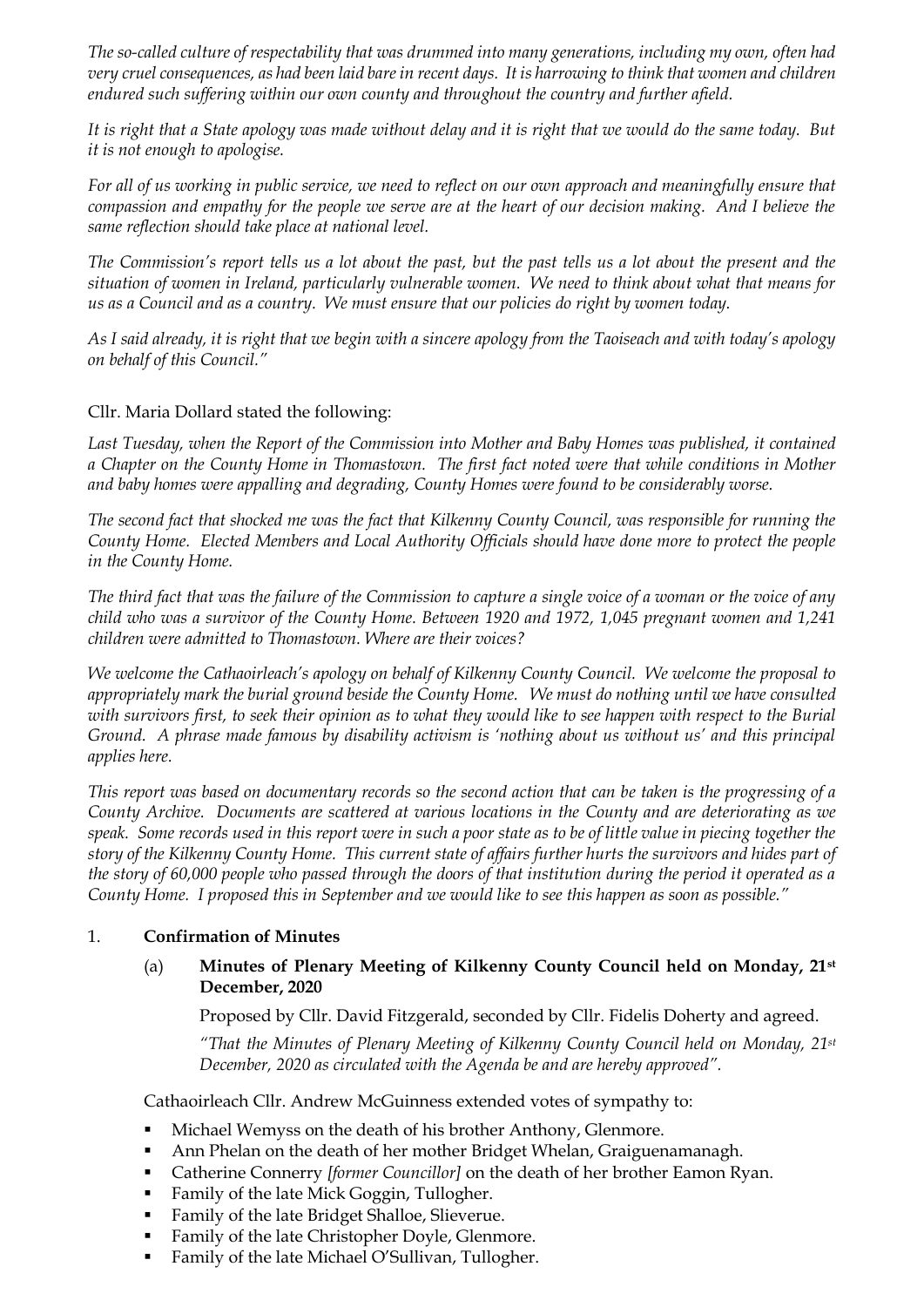*The so-called culture of respectability that was drummed into many generations, including my own, often had very cruel consequences, as had been laid bare in recent days. It is harrowing to think that women and children endured such suffering within our own county and throughout the country and further afield.*

*It is right that a State apology was made without delay and it is right that we would do the same today. But it is not enough to apologise.* 

*For all of us working in public service, we need to reflect on our own approach and meaningfully ensure that compassion and empathy for the people we serve are at the heart of our decision making. And I believe the same reflection should take place at national level.*

*The Commission's report tells us a lot about the past, but the past tells us a lot about the present and the situation of women in Ireland, particularly vulnerable women. We need to think about what that means for us as a Council and as a country. We must ensure that our policies do right by women today.*

*As I said already, it is right that we begin with a sincere apology from the Taoiseach and with today's apology on behalf of this Council."*

## Cllr. Maria Dollard stated the following:

*Last Tuesday, when the Report of the Commission into Mother and Baby Homes was published, it contained a Chapter on the County Home in Thomastown. The first fact noted were that while conditions in Mother and baby homes were appalling and degrading, County Homes were found to be considerably worse.*

*The second fact that shocked me was the fact that Kilkenny County Council, was responsible for running the County Home. Elected Members and Local Authority Officials should have done more to protect the people in the County Home.*

*The third fact that was the failure of the Commission to capture a single voice of a woman or the voice of any child who was a survivor of the County Home. Between 1920 and 1972, 1,045 pregnant women and 1,241 children were admitted to Thomastown. Where are their voices?*

*We welcome the Cathaoirleach's apology on behalf of Kilkenny County Council. We welcome the proposal to appropriately mark the burial ground beside the County Home. We must do nothing until we have consulted with survivors first, to seek their opinion as to what they would like to see happen with respect to the Burial Ground. A phrase made famous by disability activism is 'nothing about us without us' and this principal applies here.*

*This report was based on documentary records so the second action that can be taken is the progressing of a County Archive. Documents are scattered at various locations in the County and are deteriorating as we speak. Some records used in this report were in such a poor state as to be of little value in piecing together the story of the Kilkenny County Home. This current state of affairs further hurts the survivors and hides part of the story of 60,000 people who passed through the doors of that institution during the period it operated as a County Home. I proposed this in September and we would like to see this happen as soon as possible."*

## 1. **Confirmation of Minutes**

## (a) **Minutes of Plenary Meeting of Kilkenny County Council held on Monday, 21st December, 2020**

Proposed by Cllr. David Fitzgerald, seconded by Cllr. Fidelis Doherty and agreed.

*"That the Minutes of Plenary Meeting of Kilkenny County Council held on Monday, 21st December, 2020 as circulated with the Agenda be and are hereby approved".*

Cathaoirleach Cllr. Andrew McGuinness extended votes of sympathy to:

- Michael Wemyss on the death of his brother Anthony, Glenmore.
- Ann Phelan on the death of her mother Bridget Whelan, Graiguenamanagh.
- Catherine Connerry *[former Councillor]* on the death of her brother Eamon Ryan.
- Family of the late Mick Goggin, Tullogher.
- Family of the late Bridget Shalloe, Slieverue.
- Family of the late Christopher Doyle, Glenmore.
- Family of the late Michael O'Sullivan, Tullogher.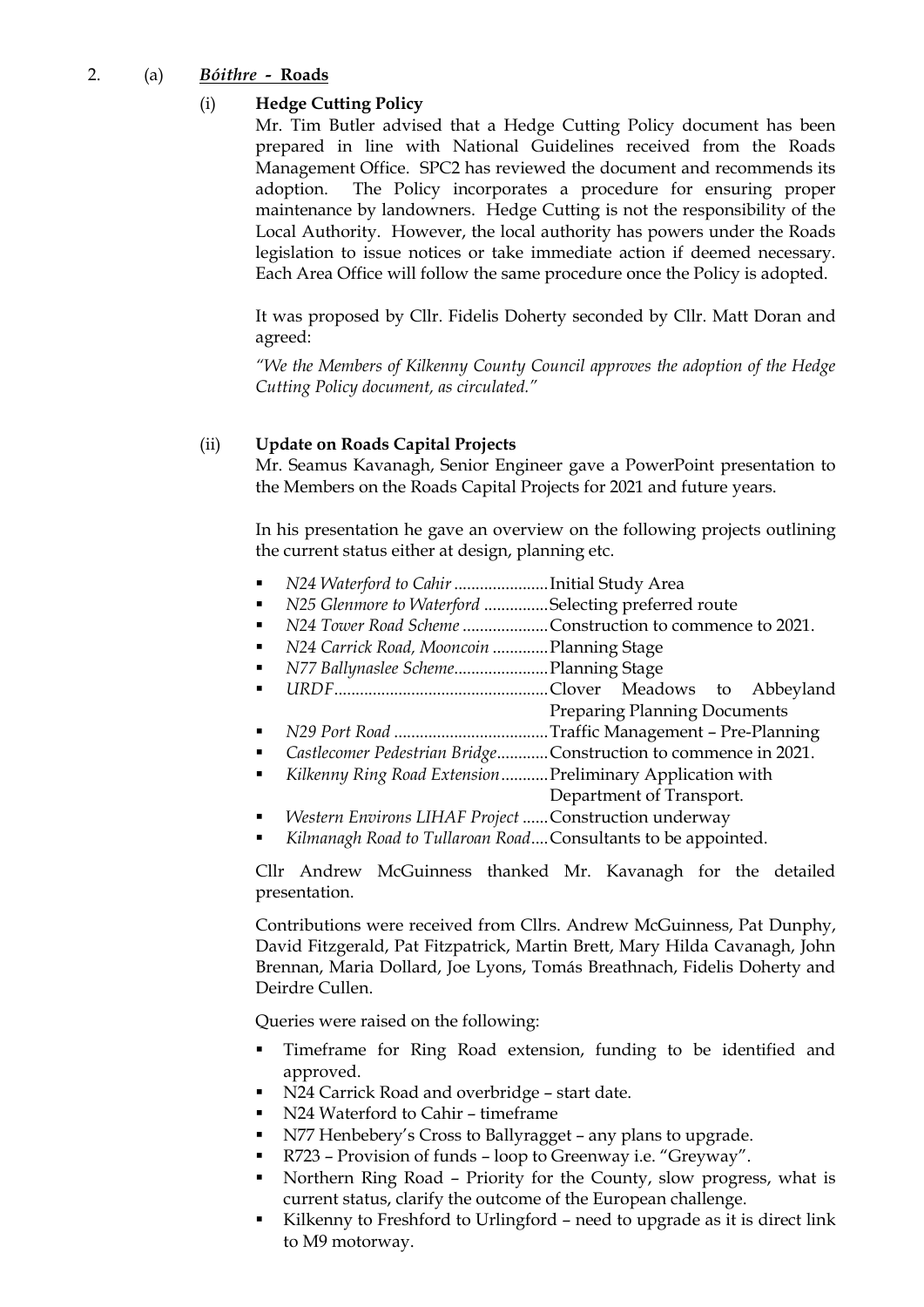## 2. (a) *Bóithre**-* **Roads**

## (i) **Hedge Cutting Policy**

Mr. Tim Butler advised that a Hedge Cutting Policy document has been prepared in line with National Guidelines received from the Roads Management Office. SPC2 has reviewed the document and recommends its adoption. The Policy incorporates a procedure for ensuring proper maintenance by landowners. Hedge Cutting is not the responsibility of the Local Authority. However, the local authority has powers under the Roads legislation to issue notices or take immediate action if deemed necessary. Each Area Office will follow the same procedure once the Policy is adopted.

It was proposed by Cllr. Fidelis Doherty seconded by Cllr. Matt Doran and agreed:

*"We the Members of Kilkenny County Council approves the adoption of the Hedge Cutting Policy document, as circulated."*

## (ii) **Update on Roads Capital Projects**

Mr. Seamus Kavanagh, Senior Engineer gave a PowerPoint presentation to the Members on the Roads Capital Projects for 2021 and future years.

In his presentation he gave an overview on the following projects outlining the current status either at design, planning etc.

- *N24 Waterford to Cahir*......................Initial Study Area
- *N25 Glenmore to Waterford ...............* Selecting preferred route
- *N24 Tower Road Scheme ...................*.Construction to commence to 2021.
- *N24 Carrick Road, Mooncoin* .............Planning Stage
- *N77 Ballynaslee Scheme*......................Planning Stage
- *URDF*..................................................Clover Meadows to Abbeyland Preparing Planning Documents
- *N29 Port Road* ....................................Traffic Management Pre-Planning
- *Castlecomer Pedestrian Bridge*............Construction to commence in 2021.
- *Kilkenny Ring Road Extension*...........Preliminary Application with Department of Transport.
- *Western Environs LIHAF Project ......* Construction underway
- Kilmanagh Road to Tullaroan Road.... Consultants to be appointed.

Cllr Andrew McGuinness thanked Mr. Kavanagh for the detailed presentation.

Contributions were received from Cllrs. Andrew McGuinness, Pat Dunphy, David Fitzgerald, Pat Fitzpatrick, Martin Brett, Mary Hilda Cavanagh, John Brennan, Maria Dollard, Joe Lyons, Tomás Breathnach, Fidelis Doherty and Deirdre Cullen.

Queries were raised on the following:

- Timeframe for Ring Road extension, funding to be identified and approved.
- N24 Carrick Road and overbridge start date.
- N24 Waterford to Cahir timeframe
- N77 Henbebery's Cross to Ballyragget any plans to upgrade.
- R723 Provision of funds loop to Greenway i.e. "Greyway".
- Northern Ring Road Priority for the County, slow progress, what is current status, clarify the outcome of the European challenge.
- Kilkenny to Freshford to Urlingford need to upgrade as it is direct link to M9 motorway.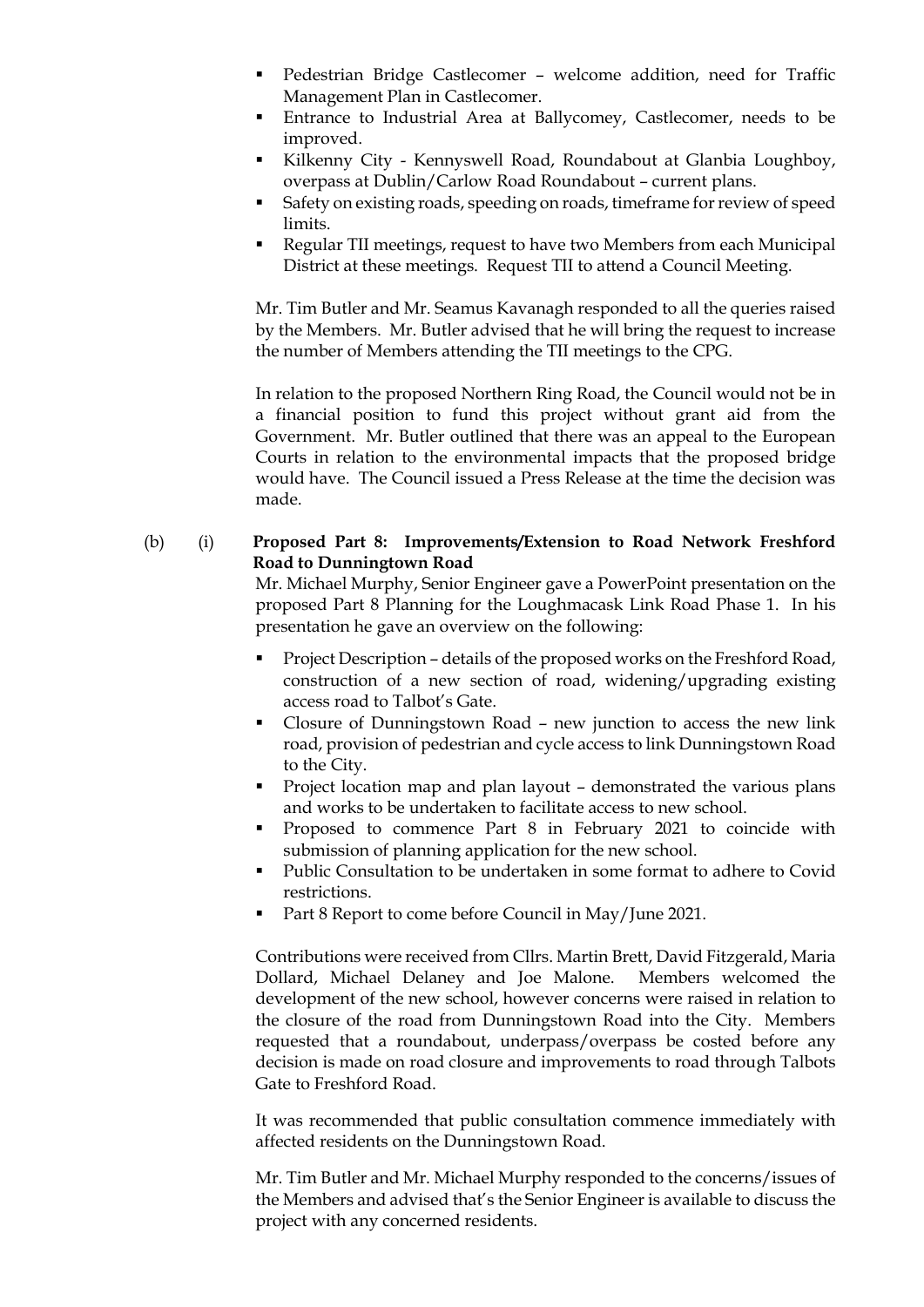- Pedestrian Bridge Castlecomer welcome addition, need for Traffic Management Plan in Castlecomer.
- **Entrance to Industrial Area at Ballycomey, Castlecomer, needs to be** improved.
- Kilkenny City Kennyswell Road, Roundabout at Glanbia Loughboy, overpass at Dublin/Carlow Road Roundabout – current plans.
- Safety on existing roads, speeding on roads, timeframe for review of speed limits.
- Regular TII meetings, request to have two Members from each Municipal District at these meetings. Request TII to attend a Council Meeting.

Mr. Tim Butler and Mr. Seamus Kavanagh responded to all the queries raised by the Members. Mr. Butler advised that he will bring the request to increase the number of Members attending the TII meetings to the CPG.

In relation to the proposed Northern Ring Road, the Council would not be in a financial position to fund this project without grant aid from the Government. Mr. Butler outlined that there was an appeal to the European Courts in relation to the environmental impacts that the proposed bridge would have. The Council issued a Press Release at the time the decision was made.

## (b) (i) **Proposed Part 8: Improvements/Extension to Road Network Freshford Road to Dunningtown Road**

Mr. Michael Murphy, Senior Engineer gave a PowerPoint presentation on the proposed Part 8 Planning for the Loughmacask Link Road Phase 1. In his presentation he gave an overview on the following:

- Project Description details of the proposed works on the Freshford Road, construction of a new section of road, widening/upgrading existing access road to Talbot's Gate.
- Closure of Dunningstown Road new junction to access the new link road, provision of pedestrian and cycle access to link Dunningstown Road to the City.
- Project location map and plan layout demonstrated the various plans and works to be undertaken to facilitate access to new school.
- Proposed to commence Part 8 in February 2021 to coincide with submission of planning application for the new school.
- Public Consultation to be undertaken in some format to adhere to Covid restrictions.
- Part 8 Report to come before Council in May/June 2021.

Contributions were received from Cllrs. Martin Brett, David Fitzgerald, Maria Dollard, Michael Delaney and Joe Malone. Members welcomed the development of the new school, however concerns were raised in relation to the closure of the road from Dunningstown Road into the City. Members requested that a roundabout, underpass/overpass be costed before any decision is made on road closure and improvements to road through Talbots Gate to Freshford Road.

It was recommended that public consultation commence immediately with affected residents on the Dunningstown Road.

Mr. Tim Butler and Mr. Michael Murphy responded to the concerns/issues of the Members and advised that's the Senior Engineer is available to discuss the project with any concerned residents.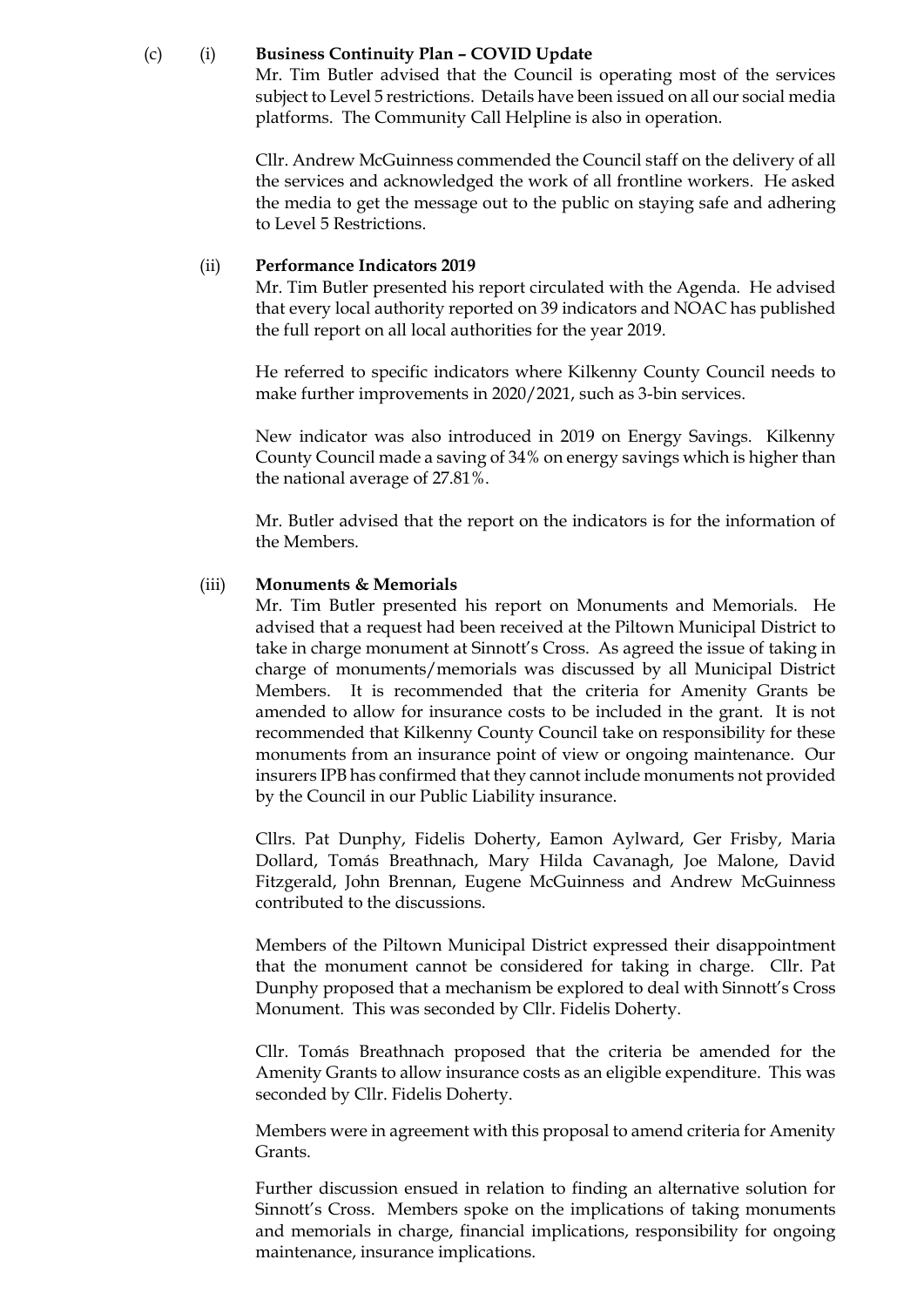#### (c) (i) **Business Continuity Plan – COVID Update**

Mr. Tim Butler advised that the Council is operating most of the services subject to Level 5 restrictions. Details have been issued on all our social media platforms. The Community Call Helpline is also in operation.

Cllr. Andrew McGuinness commended the Council staff on the delivery of all the services and acknowledged the work of all frontline workers. He asked the media to get the message out to the public on staying safe and adhering to Level 5 Restrictions.

#### (ii) **Performance Indicators 2019**

Mr. Tim Butler presented his report circulated with the Agenda. He advised that every local authority reported on 39 indicators and NOAC has published the full report on all local authorities for the year 2019.

He referred to specific indicators where Kilkenny County Council needs to make further improvements in 2020/2021, such as 3-bin services.

New indicator was also introduced in 2019 on Energy Savings. Kilkenny County Council made a saving of 34% on energy savings which is higher than the national average of 27.81%.

Mr. Butler advised that the report on the indicators is for the information of the Members.

#### (iii) **Monuments & Memorials**

Mr. Tim Butler presented his report on Monuments and Memorials. He advised that a request had been received at the Piltown Municipal District to take in charge monument at Sinnott's Cross. As agreed the issue of taking in charge of monuments/memorials was discussed by all Municipal District Members. It is recommended that the criteria for Amenity Grants be amended to allow for insurance costs to be included in the grant. It is not recommended that Kilkenny County Council take on responsibility for these monuments from an insurance point of view or ongoing maintenance. Our insurers IPB has confirmed that they cannot include monuments not provided by the Council in our Public Liability insurance.

Cllrs. Pat Dunphy, Fidelis Doherty, Eamon Aylward, Ger Frisby, Maria Dollard, Tomás Breathnach, Mary Hilda Cavanagh, Joe Malone, David Fitzgerald, John Brennan, Eugene McGuinness and Andrew McGuinness contributed to the discussions.

Members of the Piltown Municipal District expressed their disappointment that the monument cannot be considered for taking in charge. Cllr. Pat Dunphy proposed that a mechanism be explored to deal with Sinnott's Cross Monument. This was seconded by Cllr. Fidelis Doherty.

Cllr. Tomás Breathnach proposed that the criteria be amended for the Amenity Grants to allow insurance costs as an eligible expenditure. This was seconded by Cllr. Fidelis Doherty.

Members were in agreement with this proposal to amend criteria for Amenity Grants.

Further discussion ensued in relation to finding an alternative solution for Sinnott's Cross. Members spoke on the implications of taking monuments and memorials in charge, financial implications, responsibility for ongoing maintenance, insurance implications.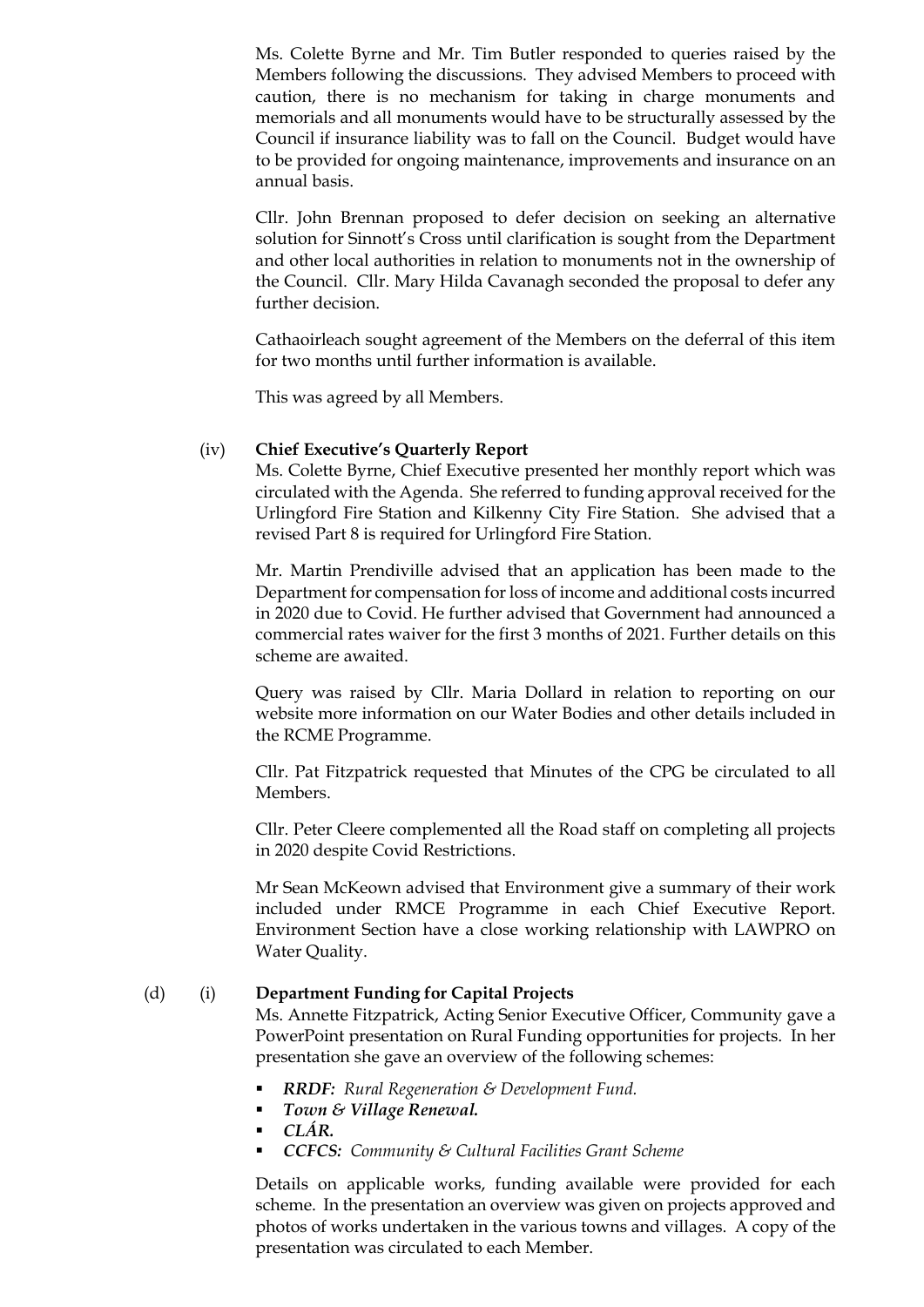Ms. Colette Byrne and Mr. Tim Butler responded to queries raised by the Members following the discussions. They advised Members to proceed with caution, there is no mechanism for taking in charge monuments and memorials and all monuments would have to be structurally assessed by the Council if insurance liability was to fall on the Council. Budget would have to be provided for ongoing maintenance, improvements and insurance on an annual basis.

Cllr. John Brennan proposed to defer decision on seeking an alternative solution for Sinnott's Cross until clarification is sought from the Department and other local authorities in relation to monuments not in the ownership of the Council. Cllr. Mary Hilda Cavanagh seconded the proposal to defer any further decision.

Cathaoirleach sought agreement of the Members on the deferral of this item for two months until further information is available.

This was agreed by all Members.

#### (iv) **Chief Executive's Quarterly Report**

Ms. Colette Byrne, Chief Executive presented her monthly report which was circulated with the Agenda. She referred to funding approval received for the Urlingford Fire Station and Kilkenny City Fire Station. She advised that a revised Part 8 is required for Urlingford Fire Station.

Mr. Martin Prendiville advised that an application has been made to the Department for compensation for loss of income and additional costs incurred in 2020 due to Covid. He further advised that Government had announced a commercial rates waiver for the first 3 months of 2021. Further details on this scheme are awaited.

Query was raised by Cllr. Maria Dollard in relation to reporting on our website more information on our Water Bodies and other details included in the RCME Programme.

Cllr. Pat Fitzpatrick requested that Minutes of the CPG be circulated to all Members.

Cllr. Peter Cleere complemented all the Road staff on completing all projects in 2020 despite Covid Restrictions.

Mr Sean McKeown advised that Environment give a summary of their work included under RMCE Programme in each Chief Executive Report. Environment Section have a close working relationship with LAWPRO on Water Quality.

#### (d) (i) **Department Funding for Capital Projects**

Ms. Annette Fitzpatrick, Acting Senior Executive Officer, Community gave a PowerPoint presentation on Rural Funding opportunities for projects. In her presentation she gave an overview of the following schemes:

- **RRDF:** Rural Regeneration & Development Fund.
- *Town & Village Renewal.*
- *CLÁR.*
- *CCFCS: Community & Cultural Facilities Grant Scheme*

Details on applicable works, funding available were provided for each scheme. In the presentation an overview was given on projects approved and photos of works undertaken in the various towns and villages. A copy of the presentation was circulated to each Member.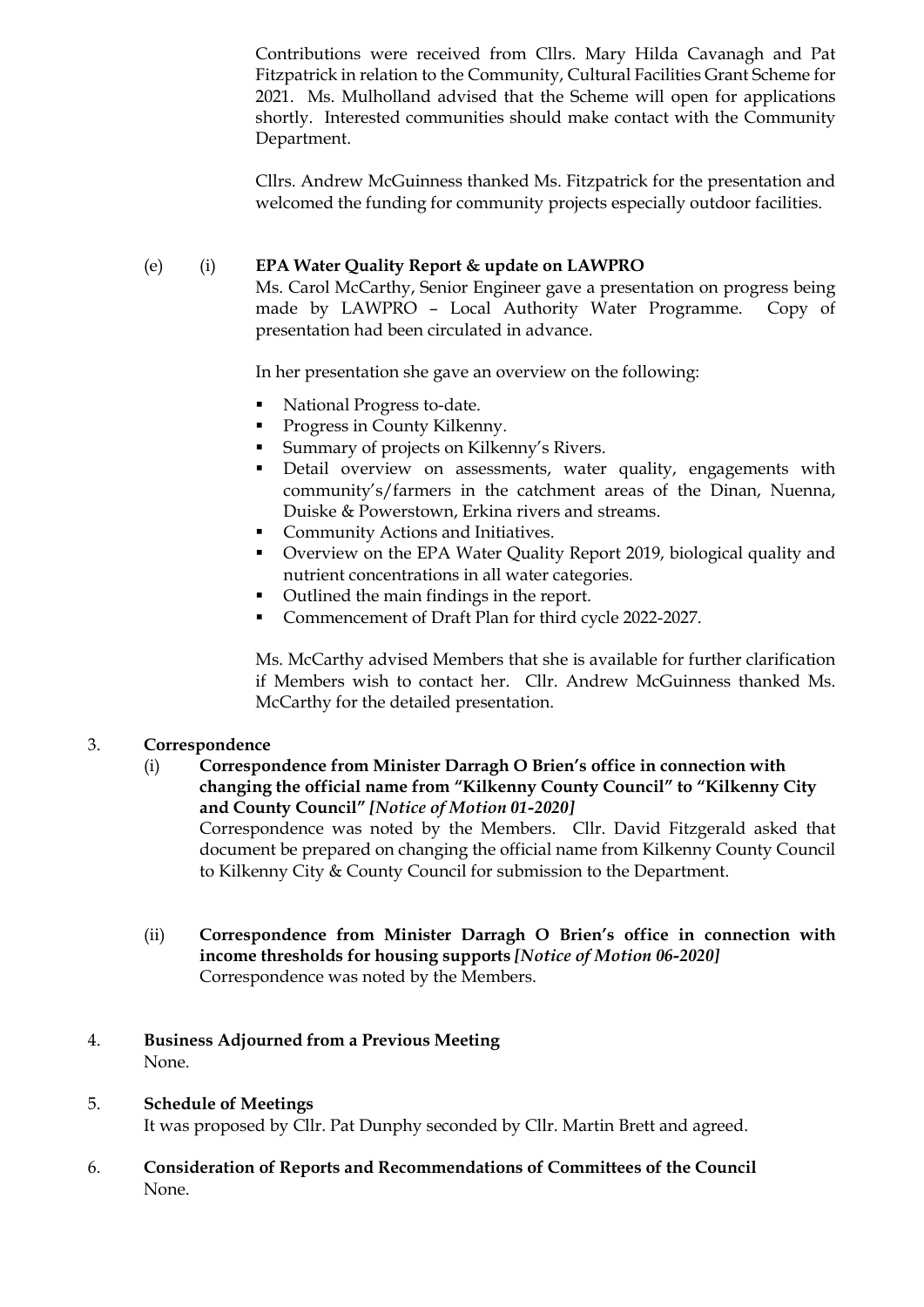Contributions were received from Cllrs. Mary Hilda Cavanagh and Pat Fitzpatrick in relation to the Community, Cultural Facilities Grant Scheme for 2021. Ms. Mulholland advised that the Scheme will open for applications shortly. Interested communities should make contact with the Community Department.

Cllrs. Andrew McGuinness thanked Ms. Fitzpatrick for the presentation and welcomed the funding for community projects especially outdoor facilities.

## (e) (i) **EPA Water Quality Report & update on LAWPRO**

Ms. Carol McCarthy, Senior Engineer gave a presentation on progress being made by LAWPRO – Local Authority Water Programme. Copy of presentation had been circulated in advance.

In her presentation she gave an overview on the following:

- National Progress to-date.
- Progress in County Kilkenny.
- Summary of projects on Kilkenny's Rivers.
- Detail overview on assessments, water quality, engagements with community's/farmers in the catchment areas of the Dinan, Nuenna, Duiske & Powerstown, Erkina rivers and streams.
- Community Actions and Initiatives.
- Overview on the EPA Water Quality Report 2019, biological quality and nutrient concentrations in all water categories.
- Outlined the main findings in the report.
- Commencement of Draft Plan for third cycle 2022-2027.

Ms. McCarthy advised Members that she is available for further clarification if Members wish to contact her. Cllr. Andrew McGuinness thanked Ms. McCarthy for the detailed presentation.

## 3. **Correspondence**

(i) **Correspondence from Minister Darragh O Brien's office in connection with changing the official name from "Kilkenny County Council" to "Kilkenny City and County Council"** *[Notice of Motion 01-2020]*

Correspondence was noted by the Members. Cllr. David Fitzgerald asked that document be prepared on changing the official name from Kilkenny County Council to Kilkenny City & County Council for submission to the Department.

(ii) **Correspondence from Minister Darragh O Brien's office in connection with income thresholds for housing supports** *[Notice of Motion 06-2020]* Correspondence was noted by the Members.

## 4. **Business Adjourned from a Previous Meeting** None.

# 5. **Schedule of Meetings**

It was proposed by Cllr. Pat Dunphy seconded by Cllr. Martin Brett and agreed.

## 6. **Consideration of Reports and Recommendations of Committees of the Council** None.